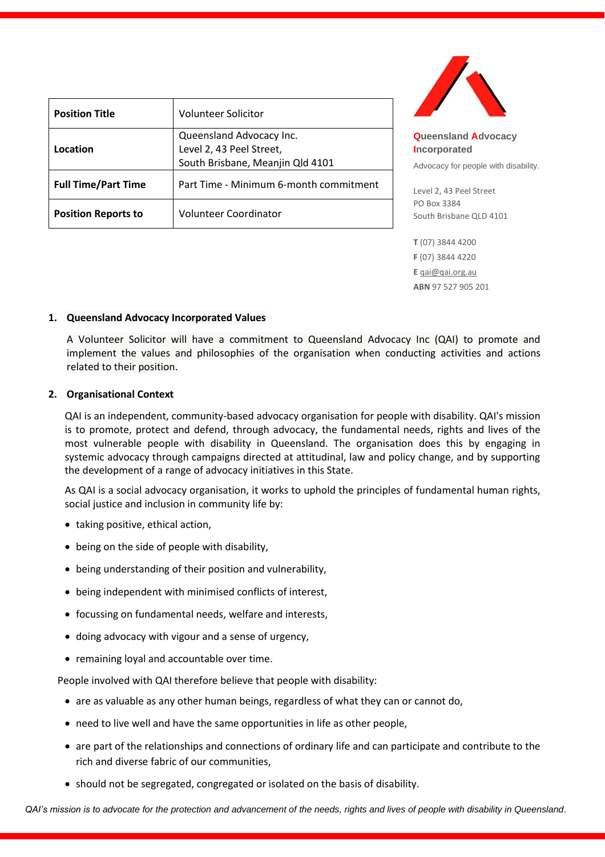| <b>Position Title</b>      | <b>Volunteer Solicitor</b>             |
|----------------------------|----------------------------------------|
|                            | Queensland Advocacy Inc.               |
| Location                   | Level 2, 43 Peel Street,               |
|                            | South Brisbane, Meanjin Qld 4101       |
| <b>Full Time/Part Time</b> | Part Time - Minimum 6-month commitment |
| <b>Position Reports to</b> | <b>Volunteer Coordinator</b>           |



**Queensland Advocacy Incorporated** 

Advocacy for people with disability.

Level 2, 43 Peel Street PO Box 3384 South Brisbane QLD 4101

**T** (07) 3844 4200 **F** (07) 3844 4220 **E** [qai@qai.org.au](mailto:qai@qai.org.au) **ABN** 97 527 905 201

#### **1. Queensland Advocacy Incorporated Values**

A Volunteer Solicitor will have a commitment to Queensland Advocacy Inc (QAI) to promote and implement the values and philosophies of the organisation when conducting activities and actions related to their position.

#### **2. Organisational Context**

QAI is an independent, community-based advocacy organisation for people with disability. QAI's mission is to promote, protect and defend, through advocacy, the fundamental needs, rights and lives of the most vulnerable people with disability in Queensland. The organisation does this by engaging in systemic advocacy through campaigns directed at attitudinal, law and policy change, and by supporting the development of a range of advocacy initiatives in this State.

As QAI is a social advocacy organisation, it works to uphold the principles of fundamental human rights, social justice and inclusion in community life by:

- taking positive, ethical action,
- being on the side of people with disability,
- being understanding of their position and vulnerability,
- being independent with minimised conflicts of interest,
- focussing on fundamental needs, welfare and interests,
- doing advocacy with vigour and a sense of urgency,
- remaining loyal and accountable over time.

People involved with QAI therefore believe that people with disability:

- are as valuable as any other human beings, regardless of what they can or cannot do,
- need to live well and have the same opportunities in life as other people,
- are part of the relationships and connections of ordinary life and can participate and contribute to the rich and diverse fabric of our communities,
- should not be segregated, congregated or isolated on the basis of disability.

*QAI's mission is to advocate for the protection and advancement of the needs, rights and lives of people with disability in Queensland*.